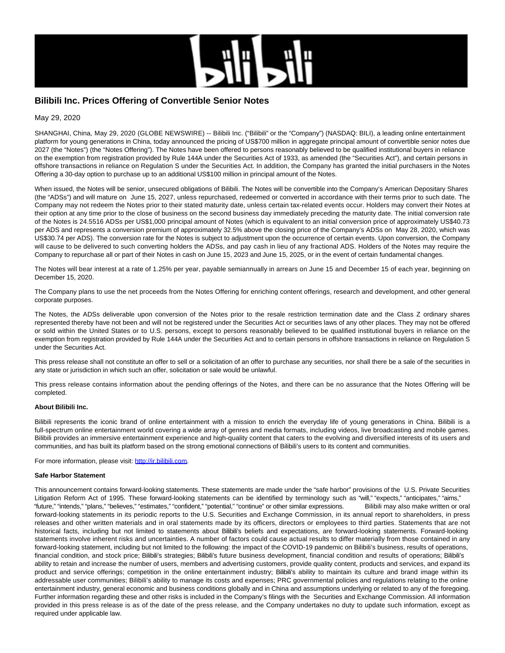

# **Bilibili Inc. Prices Offering of Convertible Senior Notes**

May 29, 2020

SHANGHAI, China, May 29, 2020 (GLOBE NEWSWIRE) -- Bilibili Inc. ("Bilibili" or the "Company") (NASDAQ: BILI), a leading online entertainment platform for young generations in China, today announced the pricing of US\$700 million in aggregate principal amount of convertible senior notes due 2027 (the "Notes") (the "Notes Offering"). The Notes have been offered to persons reasonably believed to be qualified institutional buyers in reliance on the exemption from registration provided by Rule 144A under the Securities Act of 1933, as amended (the "Securities Act"), and certain persons in offshore transactions in reliance on Regulation S under the Securities Act. In addition, the Company has granted the initial purchasers in the Notes Offering a 30-day option to purchase up to an additional US\$100 million in principal amount of the Notes.

When issued, the Notes will be senior, unsecured obligations of Bilibili. The Notes will be convertible into the Company's American Depositary Shares (the "ADSs") and will mature on June 15, 2027, unless repurchased, redeemed or converted in accordance with their terms prior to such date. The Company may not redeem the Notes prior to their stated maturity date, unless certain tax-related events occur. Holders may convert their Notes at their option at any time prior to the close of business on the second business day immediately preceding the maturity date. The initial conversion rate of the Notes is 24.5516 ADSs per US\$1,000 principal amount of Notes (which is equivalent to an initial conversion price of approximately US\$40.73 per ADS and represents a conversion premium of approximately 32.5% above the closing price of the Company's ADSs on May 28, 2020, which was US\$30.74 per ADS). The conversion rate for the Notes is subject to adjustment upon the occurrence of certain events. Upon conversion, the Company will cause to be delivered to such converting holders the ADSs, and pay cash in lieu of any fractional ADS. Holders of the Notes may require the Company to repurchase all or part of their Notes in cash on June 15, 2023 and June 15, 2025, or in the event of certain fundamental changes.

The Notes will bear interest at a rate of 1.25% per year, payable semiannually in arrears on June 15 and December 15 of each year, beginning on December 15, 2020.

The Company plans to use the net proceeds from the Notes Offering for enriching content offerings, research and development, and other general corporate purposes.

The Notes, the ADSs deliverable upon conversion of the Notes prior to the resale restriction termination date and the Class Z ordinary shares represented thereby have not been and will not be registered under the Securities Act or securities laws of any other places. They may not be offered or sold within the United States or to U.S. persons, except to persons reasonably believed to be qualified institutional buyers in reliance on the exemption from registration provided by Rule 144A under the Securities Act and to certain persons in offshore transactions in reliance on Regulation S under the Securities Act.

This press release shall not constitute an offer to sell or a solicitation of an offer to purchase any securities, nor shall there be a sale of the securities in any state or jurisdiction in which such an offer, solicitation or sale would be unlawful.

This press release contains information about the pending offerings of the Notes, and there can be no assurance that the Notes Offering will be completed.

### **About Bilibili Inc.**

Bilibili represents the iconic brand of online entertainment with a mission to enrich the everyday life of young generations in China. Bilibili is a full-spectrum online entertainment world covering a wide array of genres and media formats, including videos, live broadcasting and mobile games. Bilibili provides an immersive entertainment experience and high-quality content that caters to the evolving and diversified interests of its users and communities, and has built its platform based on the strong emotional connections of Bilibili's users to its content and communities.

For more information, please visit: [http://ir.bilibili.com.](http://ir.bilibili.com/)

#### **Safe Harbor Statement**

This announcement contains forward-looking statements. These statements are made under the "safe harbor" provisions of the U.S. Private Securities Litigation Reform Act of 1995. These forward-looking statements can be identified by terminology such as "will," "expects," "anticipates," "aims," "future," "intends," "plans," "believes," "estimates," "confident," "potential," "continue" or other similar expressions. Bilibili may also make written or oral forward-looking statements in its periodic reports to the U.S. Securities and Exchange Commission, in its annual report to shareholders, in press releases and other written materials and in oral statements made by its officers, directors or employees to third parties. Statements that are not historical facts, including but not limited to statements about Bilibili's beliefs and expectations, are forward-looking statements. Forward-looking statements involve inherent risks and uncertainties. A number of factors could cause actual results to differ materially from those contained in any forward-looking statement, including but not limited to the following: the impact of the COVID-19 pandemic on Bilibili's business, results of operations, financial condition, and stock price; Bilibili's strategies; Bilibili's future business development, financial condition and results of operations; Bilibili's ability to retain and increase the number of users, members and advertising customers, provide quality content, products and services, and expand its product and service offerings; competition in the online entertainment industry; Bilibili's ability to maintain its culture and brand image within its addressable user communities; Bilibili's ability to manage its costs and expenses; PRC governmental policies and regulations relating to the online entertainment industry, general economic and business conditions globally and in China and assumptions underlying or related to any of the foregoing. Further information regarding these and other risks is included in the Company's filings with the Securities and Exchange Commission. All information provided in this press release is as of the date of the press release, and the Company undertakes no duty to update such information, except as required under applicable law.